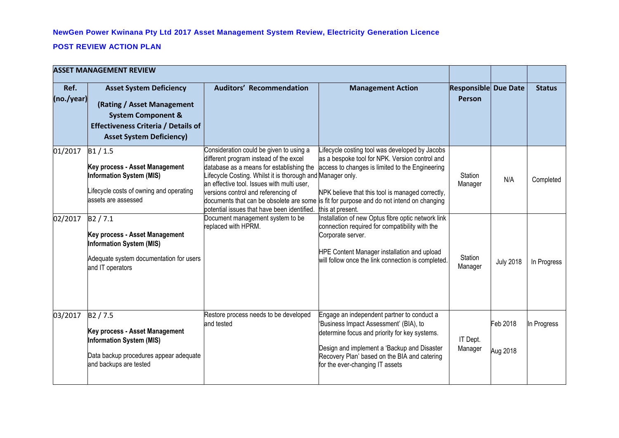## **NewGen Power Kwinana Pty Ltd 2017 Asset Management System Review, Electricity Generation Licence**

## **POST REVIEW ACTION PLAN**

| <b>ASSET MANAGEMENT REVIEW</b> |                                                                                                                                                                                |                                                                                                                                                                                                                                                                                                                                 |                                                                                                                                                                                                                                                                                                                        |                                              |                      |               |
|--------------------------------|--------------------------------------------------------------------------------------------------------------------------------------------------------------------------------|---------------------------------------------------------------------------------------------------------------------------------------------------------------------------------------------------------------------------------------------------------------------------------------------------------------------------------|------------------------------------------------------------------------------------------------------------------------------------------------------------------------------------------------------------------------------------------------------------------------------------------------------------------------|----------------------------------------------|----------------------|---------------|
| Ref.<br>(no./year)             | <b>Asset System Deficiency</b><br>(Rating / Asset Management<br><b>System Component &amp;</b><br><b>Effectiveness Criteria / Details of</b><br><b>Asset System Deficiency)</b> | <b>Auditors' Recommendation</b>                                                                                                                                                                                                                                                                                                 | <b>Management Action</b>                                                                                                                                                                                                                                                                                               | <b>Responsible Due Date</b><br><b>Person</b> |                      | <b>Status</b> |
| 01/2017                        | B1/1.5<br>Key process - Asset Management<br><b>Information System (MIS)</b><br>ifecycle costs of owning and operating<br>assets are assessed                                   | Consideration could be given to using a<br>different program instead of the excel<br>database as a means for establishing the<br>Lifecycle Costing. Whilst it is thorough and Manager only.<br>an effective tool. Issues with multi user,<br>versions control and referencing of<br>potential issues that have been identified. | ifecycle costing tool was developed by Jacobs<br>as a bespoke tool for NPK. Version control and<br>access to changes is limited to the Engineering<br>NPK believe that this tool is managed correctly,<br>documents that can be obsolete are some is fit for purpose and do not intend on changing<br>this at present. | Station<br>Manager                           | N/A                  | Completed     |
| 02/2017                        | B2 / 7.1<br>Key process - Asset Management<br><b>Information System (MIS)</b><br>Adequate system documentation for users<br>and IT operators                                   | Document management system to be<br>replaced with HPRM.                                                                                                                                                                                                                                                                         | Installation of new Optus fibre optic network link<br>connection required for compatibility with the<br>Corporate server.<br>HPE Content Manager installation and upload<br>will follow once the link connection is completed.                                                                                         | Station<br>Manager                           | <b>July 2018</b>     | In Progress   |
| 03/2017                        | B <sub>2</sub> / 7.5<br>Key process - Asset Management<br><b>Information System (MIS)</b><br>Data backup procedures appear adequate<br>and backups are tested                  | Restore process needs to be developed<br>and tested                                                                                                                                                                                                                                                                             | Engage an independent partner to conduct a<br>Business Impact Assessment' (BIA), to<br>determine focus and priority for key systems.<br>Design and implement a 'Backup and Disaster<br>Recovery Plan' based on the BIA and catering<br>for the ever-changing IT assets                                                 | IT Dept.<br>Manager                          | Feb 2018<br>Aug 2018 | In Progress   |